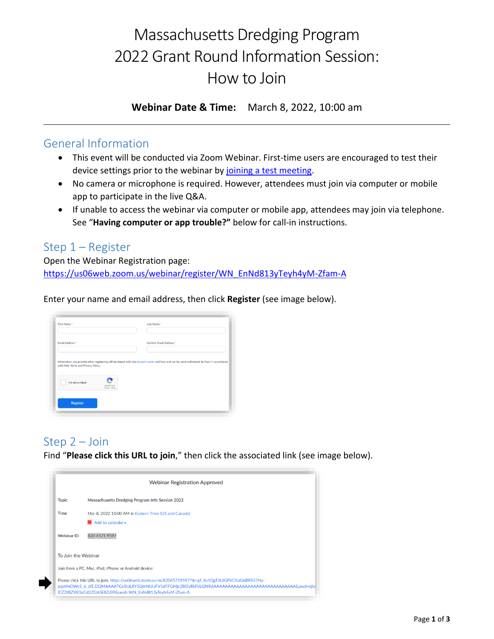# Massachusetts Dredging Program 2022 Grant Round Information Session: How to Join

**Webinar Date & Time:** March 8, 2022, 10:00 am

#### General Information

- This event will be conducted via Zoom Webinar. First-time users are encouraged to test their device settings prior to the webinar by joining [a test meeting.](https://zoom.us/test)
- No camera or microphone is required. However, attendees must join via computer or mobile app to participate in the live Q&A.
- If unable to access the webinar via computer or mobile app, attendees may join via telephone. See "**Having computer or app trouble?"** below for call-in instructions.

## Step 1 – Register

Open the Webinar Registration page: [https://us06web.zoom.us/webinar/register/WN\\_EnNd813yTeyh4yM-Zfam-A](https://us06web.zoom.us/webinar/register/WN_EnNd813yTeyh4yM-Zfam-A)

Enter your name and email address, then click **Register** (see image below).

| Email Address *                      | Confirm Email Address *                                                                                                                  |
|--------------------------------------|------------------------------------------------------------------------------------------------------------------------------------------|
| with their Terms and Privacy Policy. | Information you provide when registering will be shared with the account owner and host and can be used and shared by them in accordance |
|                                      |                                                                                                                                          |
|                                      |                                                                                                                                          |

# Step 2 – Join

Find "**Please click this URL to join**," then click the associated link (see image below).

| <b>Webinar Registration Approved</b>                 |                                                                                                                                                                                                                                                                             |  |
|------------------------------------------------------|-----------------------------------------------------------------------------------------------------------------------------------------------------------------------------------------------------------------------------------------------------------------------------|--|
| <b>Topic</b>                                         | <b>Massachusetts Dredging Program Info Session 2022</b>                                                                                                                                                                                                                     |  |
| Time                                                 | Mar 8, 2022 10:00 AM in Eastern Time (US and Canada)<br>$\blacksquare$ Add to calendar $\blacktriangleright$                                                                                                                                                                |  |
| <b>Webinar ID</b>                                    | 820 4571 9597                                                                                                                                                                                                                                                               |  |
| To Join the Webinar                                  |                                                                                                                                                                                                                                                                             |  |
| Join from a PC, Mac, iPad, iPhone or Android device: |                                                                                                                                                                                                                                                                             |  |
|                                                      | Please click this URL to join. https://us06web.zoom.us/w/82045719597?tk=gf_Xv1QgThUIGPVCKaG6BRS37Hy-<br>pqoYmOWc5 6 zfE.DQMAAAATGk5ULRY5QmNUUFV1dFFGMjc2R0lyRkFkU2NRAAAAAAAAAAAAAAAAAAAAAAAAAAAAAAAAAGywd=cjly<br>ICZ2tBZXB3aGd2ZGtkSIJIZz09&uuid=WN_EnNd813yTevh4yM-Zfam-A |  |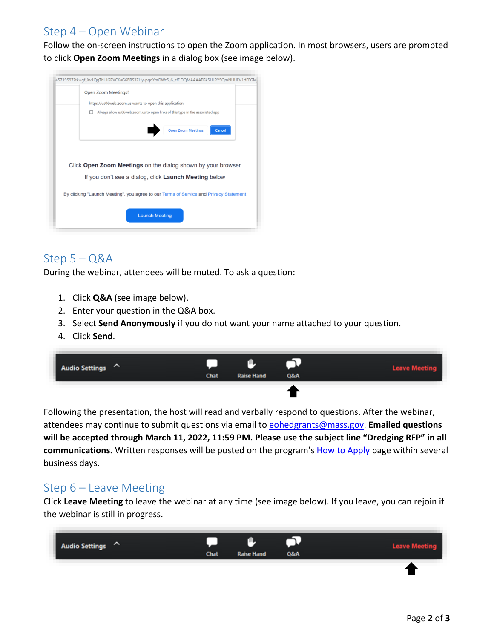## Step 4 – Open Webinar

Follow the on-screen instructions to open the Zoom application. In most browsers, users are prompted to click **Open Zoom Meetings** in a dialog box (see image below).



# Step 5 – Q&A

During the webinar, attendees will be muted. To ask a question:

- 1. Click **Q&A** (see image below).
- 2. Enter your question in the Q&A box.
- 3. Select **Send Anonymously** if you do not want your name attached to your question.
- 4. Click **Send**.



Following the presentation, the host will read and verbally respond to questions. After the webinar, attendees may continue to submit questions via email to [eohedgrants@mass.gov.](mailto:eohedgrants@mass.gov) **Emailed questions will be accepted through March 11, 2022, 11:59 PM. Please use the subject line "Dredging RFP" in all communications.** Written responses will be posted on the program's [How to Apply](https://www.mass.gov/how-to/apply-for-a-massachusetts-dredging-grant) page within several business days.

#### Step 6 – Leave Meeting

Click **Leave Meeting** to leave the webinar at any time (see image below). If you leave, you can rejoin if the webinar is still in progress.